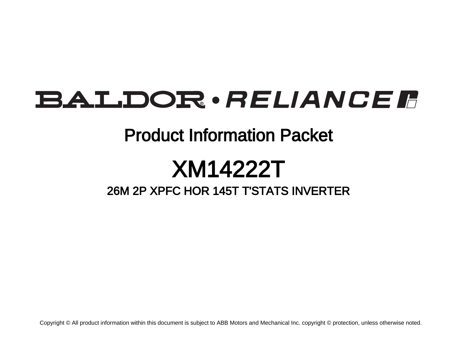## BALDOR · RELIANCE F

### Product Information Packet

# XM14222T

### 26M 2P XPFC HOR 145T T'STATS INVERTER

Copyright © All product information within this document is subject to ABB Motors and Mechanical Inc. copyright © protection, unless otherwise noted.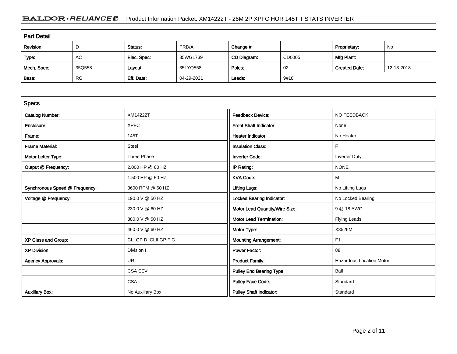#### BALDOR · RELIANCE F Product Information Packet: XM14222T - 26M 2P XPFC HOR 145T T'STATS INVERTER

| <b>Part Detail</b> |           |             |            |             |        |                      |            |  |
|--------------------|-----------|-------------|------------|-------------|--------|----------------------|------------|--|
| Revision:          | D         | Status:     | PRD/A      | Change #:   |        | Proprietary:         | No         |  |
| Type:              | AC        | Elec. Spec: | 35WGL739   | CD Diagram: | CD0005 | Mfg Plant:           |            |  |
| Mech. Spec:        | 35Q558    | Layout:     | 35LYQ558   | Poles:      | 02     | <b>Created Date:</b> | 12-13-2018 |  |
| Base:              | <b>RG</b> | Eff. Date:  | 04-29-2021 | Leads:      | 9#18   |                      |            |  |

| <b>Specs</b>                   |                       |                                  |                                 |
|--------------------------------|-----------------------|----------------------------------|---------------------------------|
| <b>Catalog Number:</b>         | XM14222T              | <b>Feedback Device:</b>          | NO FEEDBACK                     |
| Enclosure:                     | <b>XPFC</b>           | <b>Front Shaft Indicator:</b>    | None                            |
| Frame:                         | 145T                  | <b>Heater Indicator:</b>         | No Heater                       |
| <b>Frame Material:</b>         | <b>Steel</b>          | <b>Insulation Class:</b>         | F.                              |
| Motor Letter Type:             | <b>Three Phase</b>    | <b>Inverter Code:</b>            | <b>Inverter Duty</b>            |
| Output @ Frequency:            | 2.000 HP @ 60 HZ      | IP Rating:                       | <b>NONE</b>                     |
|                                | 1.500 HP @ 50 HZ      | <b>KVA Code:</b>                 | M                               |
| Synchronous Speed @ Frequency: | 3600 RPM @ 60 HZ      | <b>Lifting Lugs:</b>             | No Lifting Lugs                 |
| Voltage @ Frequency:           | 190.0 V @ 50 HZ       | <b>Locked Bearing Indicator:</b> | No Locked Bearing               |
|                                | 230.0 V @ 60 HZ       | Motor Lead Quantity/Wire Size:   | 9 @ 18 AWG                      |
|                                | 380.0 V @ 50 HZ       | <b>Motor Lead Termination:</b>   | <b>Flying Leads</b>             |
|                                | 460.0 V @ 60 HZ       | Motor Type:                      | X3526M                          |
| XP Class and Group:            | CLI GP D; CLII GP F,G | <b>Mounting Arrangement:</b>     | F <sub>1</sub>                  |
| <b>XP Division:</b>            | Division I            | <b>Power Factor:</b>             | 88                              |
| <b>Agency Approvals:</b>       | <b>UR</b>             | <b>Product Family:</b>           | <b>Hazardous Location Motor</b> |
|                                | <b>CSA EEV</b>        | <b>Pulley End Bearing Type:</b>  | Ball                            |
|                                | <b>CSA</b>            | <b>Pulley Face Code:</b>         | Standard                        |
| <b>Auxillary Box:</b>          | No Auxillary Box      | <b>Pulley Shaft Indicator:</b>   | Standard                        |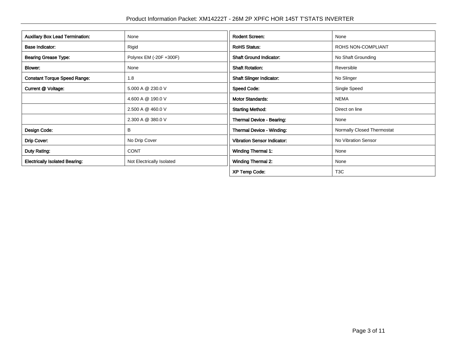| <b>Auxillary Box Lead Termination:</b> | None                      | <b>Rodent Screen:</b>              | None                       |
|----------------------------------------|---------------------------|------------------------------------|----------------------------|
| <b>Base Indicator:</b>                 | Rigid                     | <b>RoHS Status:</b>                | ROHS NON-COMPLIANT         |
| <b>Bearing Grease Type:</b>            | Polyrex EM (-20F +300F)   | <b>Shaft Ground Indicator:</b>     | No Shaft Grounding         |
| Blower:                                | None                      | <b>Shaft Rotation:</b>             | Reversible                 |
| <b>Constant Torque Speed Range:</b>    | 1.8                       | <b>Shaft Slinger Indicator:</b>    | No Slinger                 |
| Current @ Voltage:                     | 5.000 A @ 230.0 V         | <b>Speed Code:</b>                 | Single Speed               |
|                                        | 4.600 A @ 190.0 V         | <b>Motor Standards:</b>            | <b>NEMA</b>                |
|                                        | 2.500 A @ 460.0 V         | <b>Starting Method:</b>            | Direct on line             |
|                                        | 2.300 A @ 380.0 V         | Thermal Device - Bearing:          | None                       |
| Design Code:                           | в                         | <b>Thermal Device - Winding:</b>   | Normally Closed Thermostat |
| Drip Cover:                            | No Drip Cover             | <b>Vibration Sensor Indicator:</b> | No Vibration Sensor        |
| Duty Rating:                           | <b>CONT</b>               | Winding Thermal 1:                 | None                       |
| <b>Electrically Isolated Bearing:</b>  | Not Electrically Isolated | <b>Winding Thermal 2:</b>          | None                       |
|                                        |                           | <b>XP Temp Code:</b>               | T <sub>3</sub> C           |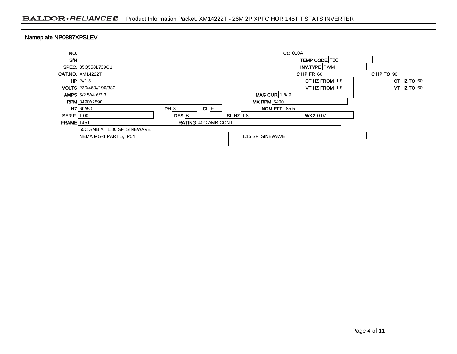#### BALDOR · RELIANCE F Product Information Packet: XM14222T - 26M 2P XPFC HOR 145T T'STATS INVERTER

| Nameplate NP0887XPSLEV |                             |                    |                     |            |                      |                      |  |               |
|------------------------|-----------------------------|--------------------|---------------------|------------|----------------------|----------------------|--|---------------|
|                        |                             |                    |                     |            |                      |                      |  |               |
| NO.                    |                             |                    |                     |            |                      | $CC$ 010A            |  |               |
| S/N                    |                             |                    |                     |            |                      | <b>TEMP CODE T3C</b> |  |               |
|                        | SPEC. 35Q558L739G1          |                    |                     |            |                      | INV.TYPE PWM         |  |               |
|                        | <b>CAT.NO. XM14222T</b>     |                    |                     |            |                      | CHPFR $ 60$          |  | CHP TO $90$   |
|                        | $HP$   2//1.5               |                    |                     |            |                      | CT HZ FROM $1.8$     |  | CT HZ TO $60$ |
|                        | VOLTS 230/460//190/380      |                    |                     |            |                      | VT HZ FROM $1.8$     |  | VT HZ TO $60$ |
|                        | AMPS 5/2.5//4.6/2.3         |                    |                     |            | <b>MAG CUR 1.8/9</b> |                      |  |               |
|                        | <b>RPM</b> 3490//2890       |                    |                     |            | $MX$ RPM $5400$      |                      |  |               |
|                        | $HZ$ 60//50                 | PH 3               | CL F                |            | <b>NOM.EFF.</b> 85.5 |                      |  |               |
| <b>SER.F.</b> 1.00     |                             | $DES$ <sub>B</sub> |                     | SLHZ $1.8$ |                      | WK2 0.07             |  |               |
| $FRAME$ 145T           |                             |                    | RATING 40C AMB-CONT |            |                      |                      |  |               |
|                        | 55C AMB AT 1.00 SF SINEWAVE |                    |                     |            |                      |                      |  |               |
|                        | NEMA MG-1 PART 5, IP54      |                    |                     |            | 1.15 SF SINEWAVE     |                      |  |               |
|                        |                             |                    |                     |            |                      |                      |  |               |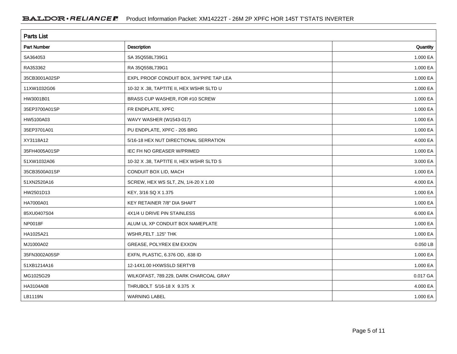| <b>Parts List</b>  |                                          |          |  |  |  |  |
|--------------------|------------------------------------------|----------|--|--|--|--|
| <b>Part Number</b> | Description                              | Quantity |  |  |  |  |
| SA364053           | SA 35Q558L739G1                          | 1.000 EA |  |  |  |  |
| RA353362           | RA 35Q558L739G1                          | 1.000 EA |  |  |  |  |
| 35CB3001A02SP      | EXPL PROOF CONDUIT BOX, 3/4"PIPE TAP LEA | 1.000 EA |  |  |  |  |
| 11XW1032G06        | 10-32 X .38, TAPTITE II, HEX WSHR SLTD U | 1.000 EA |  |  |  |  |
| HW3001B01          | BRASS CUP WASHER, FOR #10 SCREW          | 1.000 EA |  |  |  |  |
| 35EP3700A01SP      | FR ENDPLATE, XPFC                        | 1.000 EA |  |  |  |  |
| HW5100A03          | WAVY WASHER (W1543-017)                  | 1.000 EA |  |  |  |  |
| 35EP3701A01        | PU ENDPLATE, XPFC - 205 BRG              | 1.000 EA |  |  |  |  |
| XY3118A12          | 5/16-18 HEX NUT DIRECTIONAL SERRATION    | 4.000 EA |  |  |  |  |
| 35FH4005A01SP      | IEC FH NO GREASER W/PRIMED               | 1.000 EA |  |  |  |  |
| 51XW1032A06        | 10-32 X .38, TAPTITE II, HEX WSHR SLTD S | 3.000 EA |  |  |  |  |
| 35CB3500A01SP      | CONDUIT BOX LID, MACH                    | 1.000 EA |  |  |  |  |
| 51XN2520A16        | SCREW, HEX WS SLT, ZN, 1/4-20 X 1.00     | 4.000 EA |  |  |  |  |
| HW2501D13          | KEY, 3/16 SQ X 1.375                     | 1.000 EA |  |  |  |  |
| HA7000A01          | KEY RETAINER 7/8" DIA SHAFT              | 1.000 EA |  |  |  |  |
| 85XU0407S04        | 4X1/4 U DRIVE PIN STAINLESS              | 6.000 EA |  |  |  |  |
| NP0018F            | ALUM UL XP CONDUIT BOX NAMEPLATE         | 1.000 EA |  |  |  |  |
| HA1025A21          | WSHR, FELT .125" THK                     | 1.000 EA |  |  |  |  |
| MJ1000A02          | GREASE, POLYREX EM EXXON                 | 0.050 LB |  |  |  |  |
| 35FN3002A05SP      | EXFN, PLASTIC, 6.376 OD, .638 ID         | 1.000 EA |  |  |  |  |
| 51XB1214A16        | 12-14X1.00 HXWSSLD SERTYB                | 1.000 EA |  |  |  |  |
| MG1025G29          | WILKOFAST, 789.229, DARK CHARCOAL GRAY   | 0.017 GA |  |  |  |  |
| HA3104A08          | THRUBOLT 5/16-18 X 9.375 X               | 4.000 EA |  |  |  |  |
| LB1119N            | <b>WARNING LABEL</b>                     | 1.000 EA |  |  |  |  |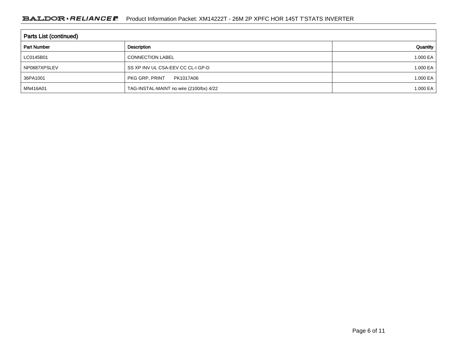| <b>Parts List (continued)</b> |                                         |          |  |  |  |  |
|-------------------------------|-----------------------------------------|----------|--|--|--|--|
| <b>Part Number</b>            | Description                             | Quantity |  |  |  |  |
| LC0145B01                     | <b>CONNECTION LABEL</b>                 | 1.000 EA |  |  |  |  |
| NP0887XPSLEV                  | SS XP INV UL CSA-EEV CC CL-I GP-D       | 1.000 EA |  |  |  |  |
| 36PA1001                      | PKG GRP, PRINT<br>PK1017A06             | 1.000 EA |  |  |  |  |
| MN416A01                      | TAG-INSTAL-MAINT no wire (2100/bx) 4/22 | 1.000 EA |  |  |  |  |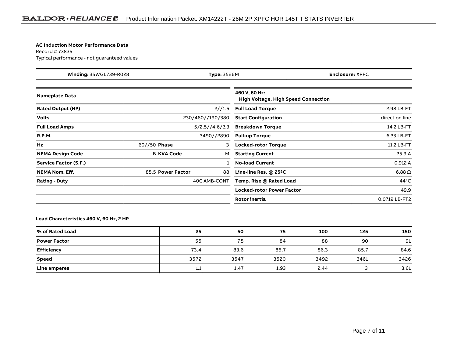#### **AC Induction Motor Performance Data**

Record # 73835Typical performance - not guaranteed values

| <b>Winding: 35WGL739-R028</b><br>Type: 3526M |                   | <b>Enclosure: XPFC</b> |                                                             |                |
|----------------------------------------------|-------------------|------------------------|-------------------------------------------------------------|----------------|
| <b>Nameplate Data</b>                        |                   |                        | 460 V, 60 Hz:<br><b>High Voltage, High Speed Connection</b> |                |
| <b>Rated Output (HP)</b>                     |                   | 2//1.5                 | <b>Full Load Torque</b>                                     | 2.98 LB-FT     |
| <b>Volts</b>                                 |                   | 230/460//190/380       | <b>Start Configuration</b>                                  | direct on line |
| <b>Full Load Amps</b>                        |                   | 5/2.5//4.6/2.3         | <b>Breakdown Torque</b>                                     | 14.2 LB-FT     |
| <b>R.P.M.</b>                                |                   | 3490//2890             | <b>Pull-up Torque</b>                                       | 6.33 LB-FT     |
| Hz                                           | $60//50$ Phase    | 3                      | <b>Locked-rotor Torque</b>                                  | 11.2 LB-FT     |
| <b>NEMA Design Code</b>                      | <b>B KVA Code</b> | м                      | <b>Starting Current</b>                                     | 25.9 A         |
| Service Factor (S.F.)                        |                   |                        | <b>No-load Current</b>                                      | 0.912A         |
| <b>NEMA Nom. Eff.</b>                        | 85.5 Power Factor | 88                     | Line-line Res. @ 25°C                                       | $6.88\Omega$   |
| <b>Rating - Duty</b>                         |                   | 40C AMB-CONT           | Temp. Rise @ Rated Load                                     | $44^{\circ}$ C |
|                                              |                   |                        | <b>Locked-rotor Power Factor</b>                            | 49.9           |
|                                              |                   |                        | Rotor inertia                                               | 0.0719 LB-FT2  |

#### **Load Characteristics 460 V, 60 Hz, 2 HP**

| % of Rated Load     | 25   | 50   | 75   | 100  | 125  | 150  |
|---------------------|------|------|------|------|------|------|
| <b>Power Factor</b> | 55   | 75   | 84   | 88   | 90   | 91   |
| <b>Efficiency</b>   | 73.4 | 83.6 | 85.7 | 86.3 | 85.7 | 84.6 |
| <b>Speed</b>        | 3572 | 3547 | 3520 | 3492 | 3461 | 3426 |
| Line amperes        | 1.1  | 1.47 | 1.93 | 2.44 |      | 3.61 |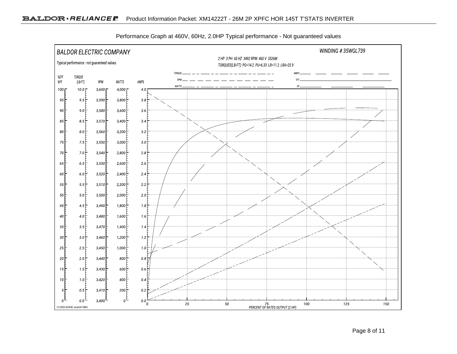

Performance Graph at 460V, 60Hz, 2.0HP Typical performance - Not guaranteed values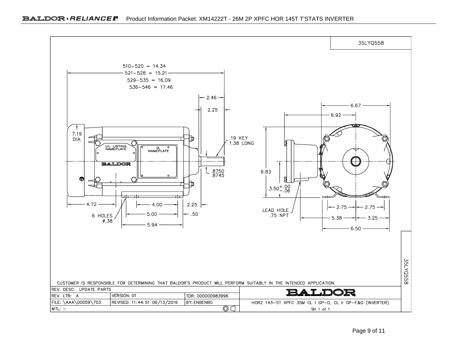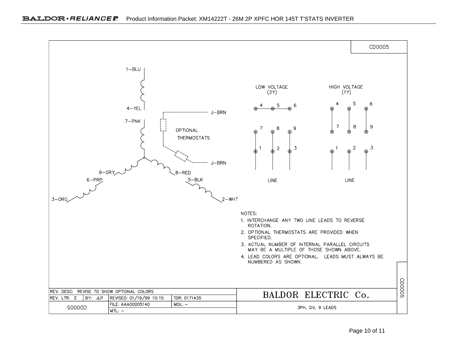